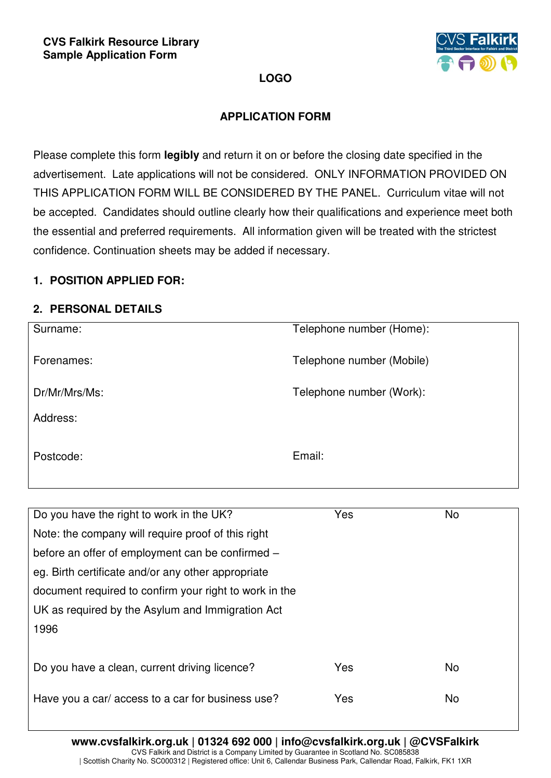

# **LOGO**

## **APPLICATION FORM**

Please complete this form **legibly** and return it on or before the closing date specified in the advertisement. Late applications will not be considered. ONLY INFORMATION PROVIDED ON THIS APPLICATION FORM WILL BE CONSIDERED BY THE PANEL. Curriculum vitae will not be accepted. Candidates should outline clearly how their qualifications and experience meet both the essential and preferred requirements. All information given will be treated with the strictest confidence. Continuation sheets may be added if necessary.

## **1. POSITION APPLIED FOR:**

### **2. PERSONAL DETAILS**

| Surname:      | Telephone number (Home):  |
|---------------|---------------------------|
| Forenames:    | Telephone number (Mobile) |
| Dr/Mr/Mrs/Ms: | Telephone number (Work):  |
| Address:      |                           |
| Postcode:     | Email:                    |

| Do you have the right to work in the UK?               | Yes | <b>No</b> |
|--------------------------------------------------------|-----|-----------|
| Note: the company will require proof of this right     |     |           |
| before an offer of employment can be confirmed –       |     |           |
| eg. Birth certificate and/or any other appropriate     |     |           |
| document required to confirm your right to work in the |     |           |
| UK as required by the Asylum and Immigration Act       |     |           |
| 1996                                                   |     |           |
|                                                        |     |           |
| Do you have a clean, current driving licence?          | Yes | <b>No</b> |
|                                                        | Yes | <b>No</b> |
| Have you a car/ access to a car for business use?      |     |           |
|                                                        |     |           |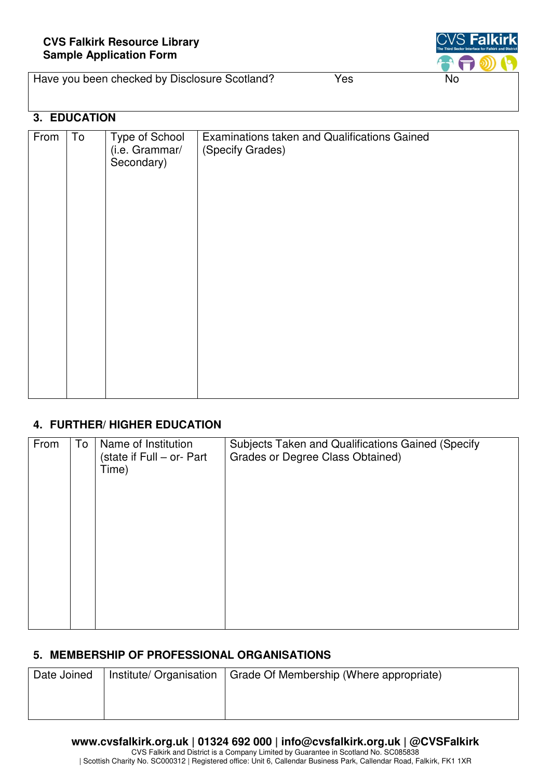

| Have you been checked by Disclosure Scotland? | Yes | No |
|-----------------------------------------------|-----|----|
|-----------------------------------------------|-----|----|

## **3. EDUCATION**

| From | To | Type of School<br>(i.e. Grammar/<br>Secondary) | Examinations taken and Qualifications Gained<br>(Specify Grades) |
|------|----|------------------------------------------------|------------------------------------------------------------------|
|      |    |                                                |                                                                  |

## **4. FURTHER/ HIGHER EDUCATION**

| From | To | Name of Institution<br>(state if Full - or- Part<br>Time) | Subjects Taken and Qualifications Gained (Specify<br>Grades or Degree Class Obtained) |
|------|----|-----------------------------------------------------------|---------------------------------------------------------------------------------------|
|      |    |                                                           |                                                                                       |

#### **5. MEMBERSHIP OF PROFESSIONAL ORGANISATIONS**

| Date Joined | Institute/ Organisation | Grade Of Membership (Where appropriate) |
|-------------|-------------------------|-----------------------------------------|
|             |                         |                                         |
|             |                         |                                         |

#### **www.cvsfalkirk.org.uk | 01324 692 000 | info@cvsfalkirk.org.uk | @CVSFalkirk**

CVS Falkirk and District is a Company Limited by Guarantee in Scotland No. SC085838 | Scottish Charity No. SC000312 | Registered office: Unit 6, Callendar Business Park, Callendar Road, Falkirk, FK1 1XR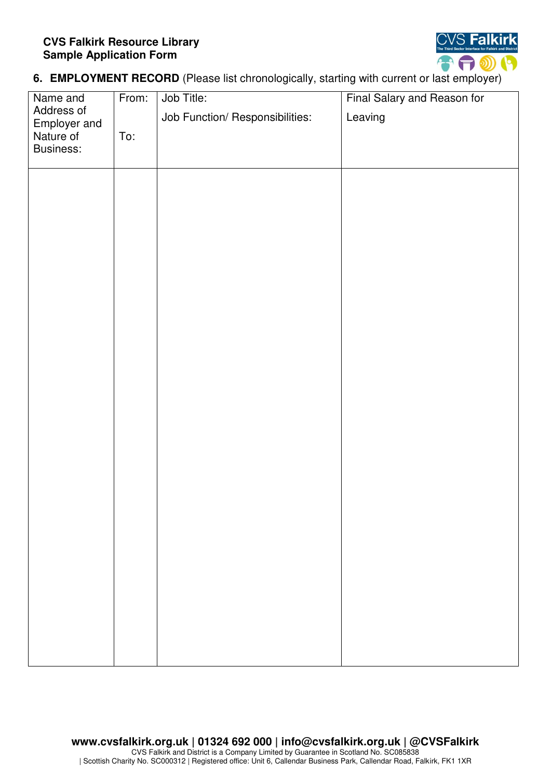#### **CVS Falkirk Resource Library Sample Application Form**



**6. EMPLOYMENT RECORD** (Please list chronologically, starting with current or last employer)

| Name and                  | From: | Job Title:                      | Final Salary and Reason for |
|---------------------------|-------|---------------------------------|-----------------------------|
| Address of                |       | Job Function/ Responsibilities: | Leaving                     |
| Employer and<br>Nature of | To:   |                                 |                             |
| Business:                 |       |                                 |                             |
|                           |       |                                 |                             |
|                           |       |                                 |                             |
|                           |       |                                 |                             |
|                           |       |                                 |                             |
|                           |       |                                 |                             |
|                           |       |                                 |                             |
|                           |       |                                 |                             |
|                           |       |                                 |                             |
|                           |       |                                 |                             |
|                           |       |                                 |                             |
|                           |       |                                 |                             |
|                           |       |                                 |                             |
|                           |       |                                 |                             |
|                           |       |                                 |                             |
|                           |       |                                 |                             |
|                           |       |                                 |                             |
|                           |       |                                 |                             |
|                           |       |                                 |                             |
|                           |       |                                 |                             |
|                           |       |                                 |                             |
|                           |       |                                 |                             |
|                           |       |                                 |                             |
|                           |       |                                 |                             |
|                           |       |                                 |                             |
|                           |       |                                 |                             |
|                           |       |                                 |                             |
|                           |       |                                 |                             |
|                           |       |                                 |                             |
|                           |       |                                 |                             |
|                           |       |                                 |                             |
|                           |       |                                 |                             |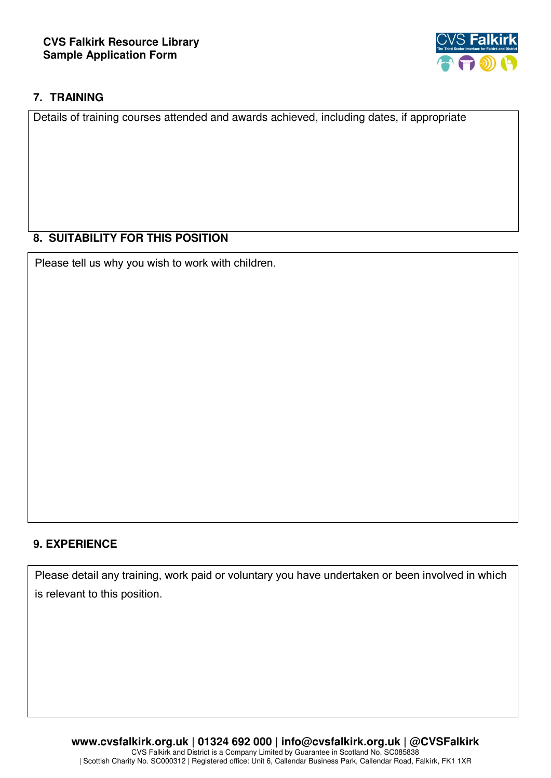

## **7. TRAINING**

Details of training courses attended and awards achieved, including dates, if appropriate

### **8. SUITABILITY FOR THIS POSITION**

Please tell us why you wish to work with children.

### **9. EXPERIENCE**

Please detail any training, work paid or voluntary you have undertaken or been involved in which is relevant to this position.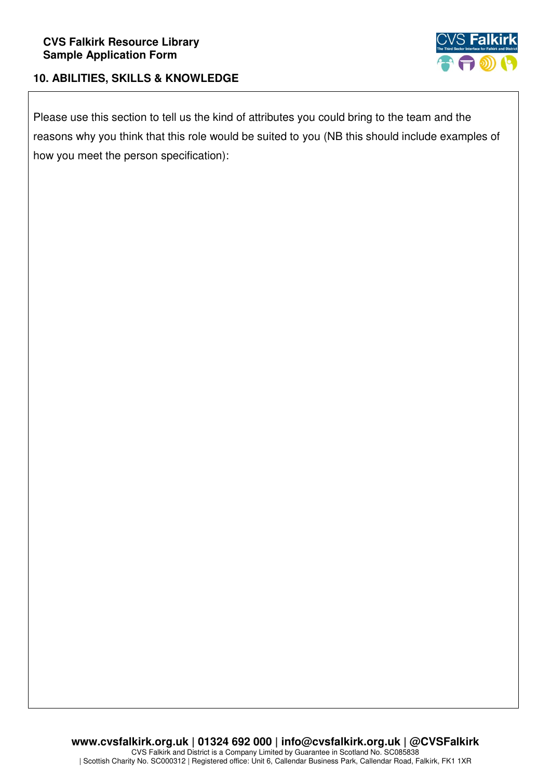

## **10. ABILITIES, SKILLS & KNOWLEDGE**

Please use this section to tell us the kind of attributes you could bring to the team and the reasons why you think that this role would be suited to you (NB this should include examples of how you meet the person specification):